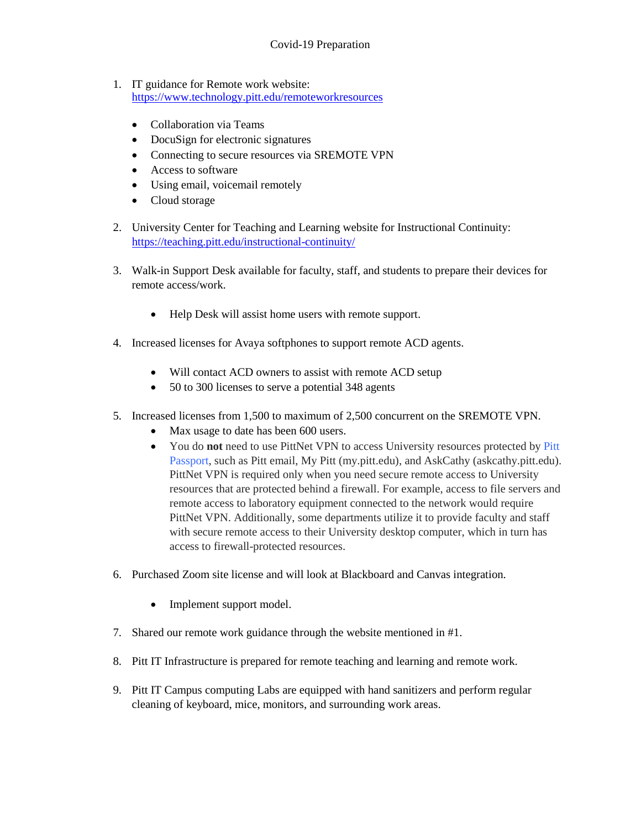- 1. IT guidance for Remote work website: <https://www.technology.pitt.edu/remoteworkresources>
	- Collaboration via Teams
	- DocuSign for electronic signatures
	- Connecting to secure resources via SREMOTE VPN
	- Access to software
	- Using email, voicemail remotely
	- Cloud storage
- 2. University Center for Teaching and Learning website for Instructional Continuity: <https://teaching.pitt.edu/instructional-continuity/>
- 3. Walk-in Support Desk available for faculty, staff, and students to prepare their devices for remote access/work.
	- Help Desk will assist home users with remote support.
- 4. Increased licenses for Avaya softphones to support remote ACD agents.
	- Will contact ACD owners to assist with remote ACD setup
	- 50 to 300 licenses to serve a potential 348 agents
- 5. Increased licenses from 1,500 to maximum of 2,500 concurrent on the SREMOTE VPN.
	- Max usage to date has been 600 users.
	- You do **not** need to use PittNet VPN to access University resources protected by [Pitt](https://www.technology.pitt.edu/security/pitt-passport-your-trusted-single-sign-on-experience)  [Passport,](https://www.technology.pitt.edu/security/pitt-passport-your-trusted-single-sign-on-experience) such as Pitt email, My Pitt (my.pitt.edu), and AskCathy (askcathy.pitt.edu). PittNet VPN is required only when you need secure remote access to University resources that are protected behind a firewall. For example, access to file servers and remote access to laboratory equipment connected to the network would require PittNet VPN. Additionally, some departments utilize it to provide faculty and staff with secure remote access to their University desktop computer, which in turn has access to firewall-protected resources.
- 6. Purchased Zoom site license and will look at Blackboard and Canvas integration.
	- Implement support model.
- 7. Shared our remote work guidance through the website mentioned in #1.
- 8. Pitt IT Infrastructure is prepared for remote teaching and learning and remote work.
- 9. Pitt IT Campus computing Labs are equipped with hand sanitizers and perform regular cleaning of keyboard, mice, monitors, and surrounding work areas.